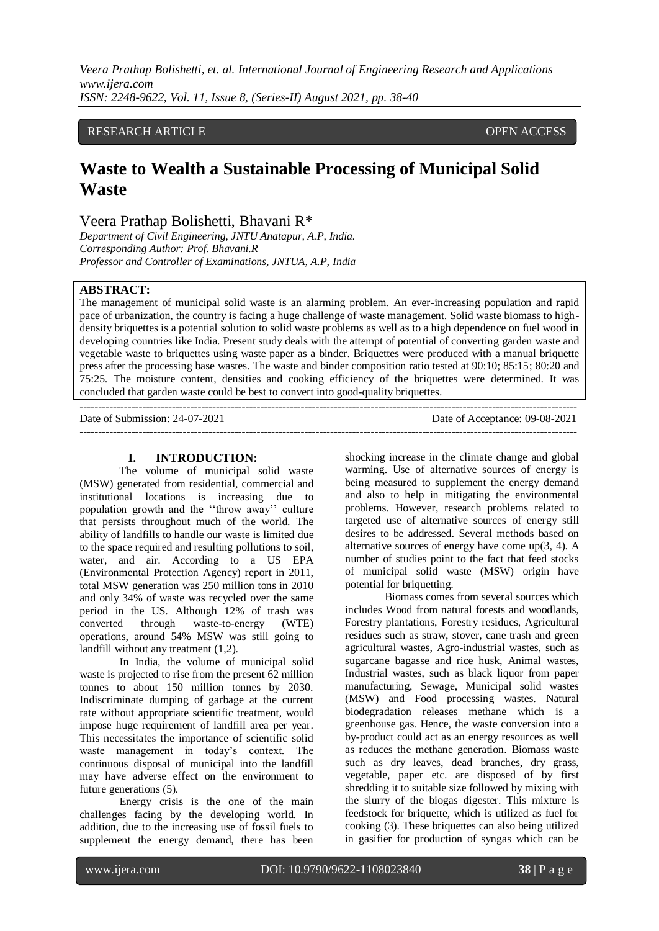*Veera Prathap Bolishetti, et. al. International Journal of Engineering Research and Applications www.ijera.com ISSN: 2248-9622, Vol. 11, Issue 8, (Series-II) August 2021, pp. 38-40*

# RESEARCH ARTICLE **CONSERVERS** OPEN ACCESS

# **Waste to Wealth a Sustainable Processing of Municipal Solid Waste**

# Veera Prathap Bolishetti, Bhavani R\*

*Department of Civil Engineering, JNTU Anatapur, A.P, India. Corresponding Author: Prof. Bhavani.R Professor and Controller of Examinations, JNTUA, A.P, India*

# **ABSTRACT:**

The management of municipal solid waste is an alarming problem. An ever-increasing population and rapid pace of urbanization, the country is facing a huge challenge of waste management. Solid waste biomass to highdensity briquettes is a potential solution to solid waste problems as well as to a high dependence on fuel wood in developing countries like India. Present study deals with the attempt of potential of converting garden waste and vegetable waste to briquettes using waste paper as a binder. Briquettes were produced with a manual briquette press after the processing base wastes. The waste and binder composition ratio tested at 90:10; 85:15; 80:20 and 75:25. The moisture content, densities and cooking efficiency of the briquettes were determined. It was concluded that garden waste could be best to convert into good-quality briquettes. ---------------------------------------------------------------------------------------------------------------------------------------

Date of Submission: 24-07-2021 Date of Acceptance: 09-08-2021 ---------------------------------------------------------------------------------------------------------------------------------------

# **I. INTRODUCTION:**

The volume of municipal solid waste (MSW) generated from residential, commercial and institutional locations is increasing due to population growth and the ''throw away'' culture that persists throughout much of the world. The ability of landfills to handle our waste is limited due to the space required and resulting pollutions to soil, water, and air. According to a US EPA (Environmental Protection Agency) report in 2011, total MSW generation was 250 million tons in 2010 and only 34% of waste was recycled over the same period in the US. Although 12% of trash was converted through waste-to-energy (WTE) operations, around 54% MSW was still going to landfill without any treatment (1,2).

In India, the volume of municipal solid waste is projected to rise from the present 62 million tonnes to about 150 million tonnes by 2030. Indiscriminate dumping of garbage at the current rate without appropriate scientific treatment, would impose huge requirement of landfill area per year. This necessitates the importance of scientific solid waste management in today's context. The continuous disposal of municipal into the landfill may have adverse effect on the environment to future generations (5).

Energy crisis is the one of the main challenges facing by the developing world. In addition, due to the increasing use of fossil fuels to supplement the energy demand, there has been shocking increase in the climate change and global warming. Use of alternative sources of energy is being measured to supplement the energy demand and also to help in mitigating the environmental problems. However, research problems related to targeted use of alternative sources of energy still desires to be addressed. Several methods based on alternative sources of energy have come up(3, 4). A number of studies point to the fact that feed stocks of municipal solid waste (MSW) origin have potential for briquetting.

Biomass comes from several sources which includes Wood from natural forests and woodlands, Forestry plantations, Forestry residues, Agricultural residues such as straw, stover, cane trash and green agricultural wastes, Agro-industrial wastes, such as sugarcane bagasse and rice husk, Animal wastes, Industrial wastes, such as black liquor from paper manufacturing, Sewage, Municipal solid wastes (MSW) and Food processing wastes. Natural biodegradation releases methane which is a greenhouse gas. Hence, the waste conversion into a by-product could act as an energy resources as well as reduces the methane generation. Biomass waste such as dry leaves, dead branches, dry grass, vegetable, paper etc. are disposed of by first shredding it to suitable size followed by mixing with the slurry of the biogas digester. This mixture is feedstock for briquette, which is utilized as fuel for cooking (3). These briquettes can also being utilized in gasifier for production of syngas which can be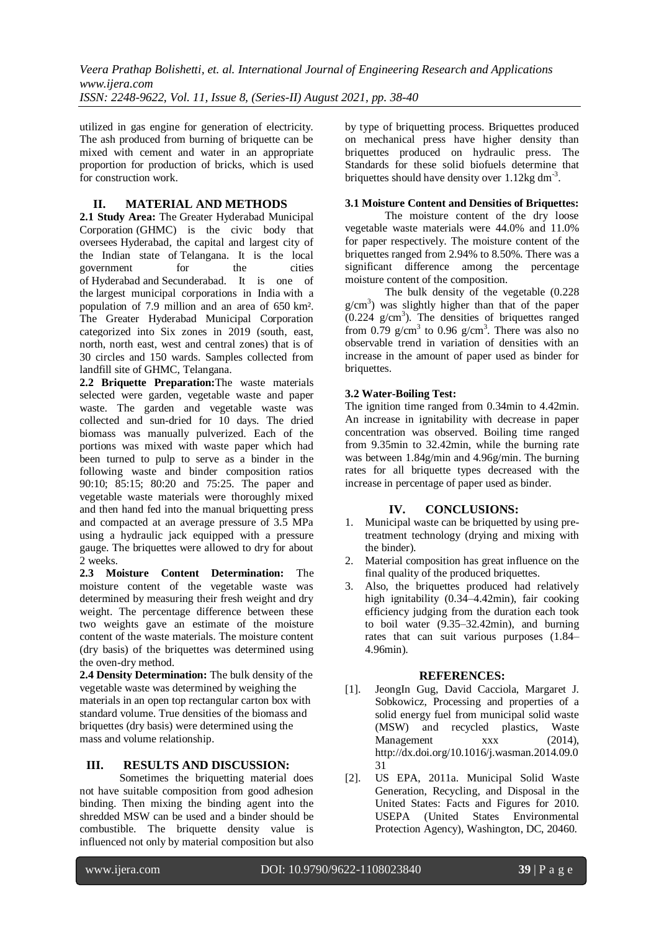*Veera Prathap Bolishetti, et. al. International Journal of Engineering Research and Applications www.ijera.com ISSN: 2248-9622, Vol. 11, Issue 8, (Series-II) August 2021, pp. 38-40*

utilized in gas engine for generation of electricity. The ash produced from burning of briquette can be mixed with cement and water in an appropriate proportion for production of bricks, which is used for construction work.

# **II. MATERIAL AND METHODS**

**2.1 Study Area:** The Greater Hyderabad Municipal Corporation (GHMC) is the civic body that oversees [Hyderabad,](https://en.wikipedia.org/wiki/Hyderabad) the capital and largest city of the Indian state of [Telangana.](https://en.wikipedia.org/wiki/Telangana) It is the local government for the cities of [Hyderabad](https://en.wikipedia.org/wiki/Hyderabad) and [Secunderabad.](https://en.wikipedia.org/wiki/Secunderabad) It is one of the [largest municipal corporations in India](https://en.wikipedia.org/wiki/List_of_municipal_corporations_in_India) with a population of 7.9 million and an area of 650 km². The Greater Hyderabad Municipal Corporation categorized into Six zones in 2019 (south, east, north, north east, west and central zones) that is of [30 circles and 150 wards.](https://en.wikipedia.org/wiki/List_of_Hyderabad_Corporation_wards) Samples collected from landfill site of GHMC, Telangana.

**2.2 Briquette Preparation:**The waste materials selected were garden, vegetable waste and paper waste. The garden and vegetable waste was collected and sun-dried for 10 days. The dried biomass was manually pulverized. Each of the portions was mixed with waste paper which had been turned to pulp to serve as a binder in the following waste and binder composition ratios 90:10; 85:15; 80:20 and 75:25. The paper and vegetable waste materials were thoroughly mixed and then hand fed into the manual briquetting press and compacted at an average pressure of 3.5 MPa using a hydraulic jack equipped with a pressure gauge. The briquettes were allowed to dry for about 2 weeks.

**2.3 Moisture Content Determination:** The moisture content of the vegetable waste was determined by measuring their fresh weight and dry weight. The percentage difference between these two weights gave an estimate of the moisture content of the waste materials. The moisture content (dry basis) of the briquettes was determined using the oven-dry method.

**2.4 Density Determination:** The bulk density of the vegetable waste was determined by weighing the materials in an open top rectangular carton box with standard volume. True densities of the biomass and briquettes (dry basis) were determined using the mass and volume relationship.

#### **III. RESULTS AND DISCUSSION:**

Sometimes the briquetting material does not have suitable composition from good adhesion binding. Then mixing the binding agent into the shredded MSW can be used and a binder should be combustible. The briquette density value is influenced not only by material composition but also by type of briquetting process. Briquettes produced on mechanical press have higher density than briquettes produced on hydraulic press. The Standards for these solid biofuels determine that briquettes should have density over  $1.12 \text{kg dm}^3$ .

#### **3.1 Moisture Content and Densities of Briquettes:**

The moisture content of the dry loose vegetable waste materials were 44.0% and 11.0% for paper respectively. The moisture content of the briquettes ranged from 2.94% to 8.50%. There was a significant difference among the percentage moisture content of the composition.

The bulk density of the vegetable (0.228  $g/cm<sup>3</sup>$ ) was slightly higher than that of the paper  $(0.224 \text{ g/cm}^3)$ . The densities of briquettes ranged from 0.79  $g/cm<sup>3</sup>$  to 0.96  $g/cm<sup>3</sup>$ . There was also no observable trend in variation of densities with an increase in the amount of paper used as binder for briquettes.

#### **3.2 Water-Boiling Test:**

The ignition time ranged from 0.34min to 4.42min. An increase in ignitability with decrease in paper concentration was observed. Boiling time ranged from 9.35min to 32.42min, while the burning rate was between 1.84g/min and 4.96g/min. The burning rates for all briquette types decreased with the increase in percentage of paper used as binder.

#### **IV. CONCLUSIONS:**

- 1. Municipal waste can be briquetted by using pretreatment technology (drying and mixing with the binder).
- 2. Material composition has great influence on the final quality of the produced briquettes.
- 3. Also, the briquettes produced had relatively high ignitability (0.34–4.42min), fair cooking efficiency judging from the duration each took to boil water (9.35–32.42min), and burning rates that can suit various purposes (1.84– 4.96min).

#### **REFERENCES:**

- [1]. JeongIn Gug, David Cacciola, Margaret J. Sobkowicz, Processing and properties of a solid energy fuel from municipal solid waste (MSW) and recycled plastics, Waste Management xxx (2014), http://dx.doi.org/10.1016/j.wasman.2014.09.0 31
- [2]. US EPA, 2011a. Municipal Solid Waste Generation, Recycling, and Disposal in the United States: Facts and Figures for 2010. USEPA (United States Environmental Protection Agency), Washington, DC, 20460.